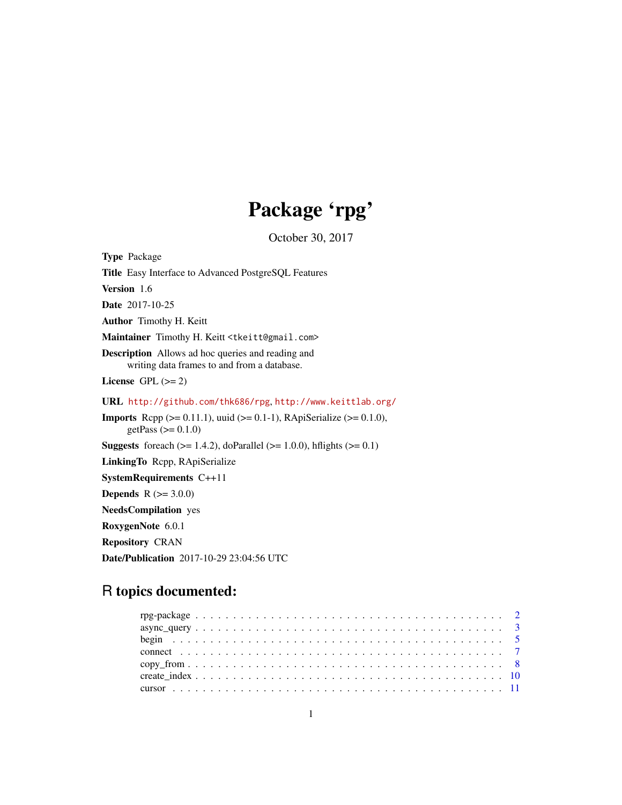# Package 'rpg'

October 30, 2017

<span id="page-0-0"></span>Type Package Title Easy Interface to Advanced PostgreSQL Features Version 1.6 Date 2017-10-25 Author Timothy H. Keitt Maintainer Timothy H. Keitt <tkeitt@gmail.com> Description Allows ad hoc queries and reading and writing data frames to and from a database. License GPL  $(>= 2)$ URL <http://github.com/thk686/rpg>, <http://www.keittlab.org/> **Imports** Rcpp ( $>= 0.11.1$ ), uuid ( $>= 0.1-1$ ), RApiSerialize ( $>= 0.1.0$ ), getPass  $(>= 0.1.0)$ **Suggests** foreach ( $>= 1.4.2$ ), doParallel ( $>= 1.0.0$ ), hflights ( $>= 0.1$ ) LinkingTo Rcpp, RApiSerialize SystemRequirements C++11 **Depends** R  $(>= 3.0.0)$ NeedsCompilation yes RoxygenNote 6.0.1 Repository CRAN

Date/Publication 2017-10-29 23:04:56 UTC

# R topics documented: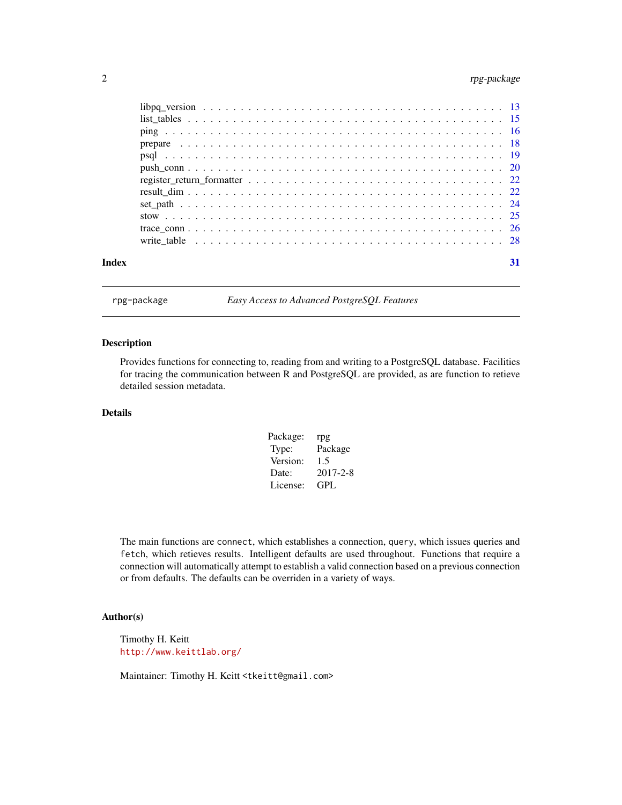# <span id="page-1-0"></span>2 rpg-package

| Index | 31 |
|-------|----|
|       |    |

rpg-package *Easy Access to Advanced PostgreSQL Features*

#### <span id="page-1-1"></span>Description

Provides functions for connecting to, reading from and writing to a PostgreSQL database. Facilities for tracing the communication between R and PostgreSQL are provided, as are function to retieve detailed session metadata.

# Details

| Package: | rpg            |
|----------|----------------|
| Type:    | Package        |
| Version: | 1.5            |
| Date:    | $2017 - 2 - 8$ |
| License: | GPL.           |

The main functions are connect, which establishes a connection, query, which issues queries and fetch, which retieves results. Intelligent defaults are used throughout. Functions that require a connection will automatically attempt to establish a valid connection based on a previous connection or from defaults. The defaults can be overriden in a variety of ways.

# Author(s)

Timothy H. Keitt <http://www.keittlab.org/>

Maintainer: Timothy H. Keitt <tkeitt@gmail.com>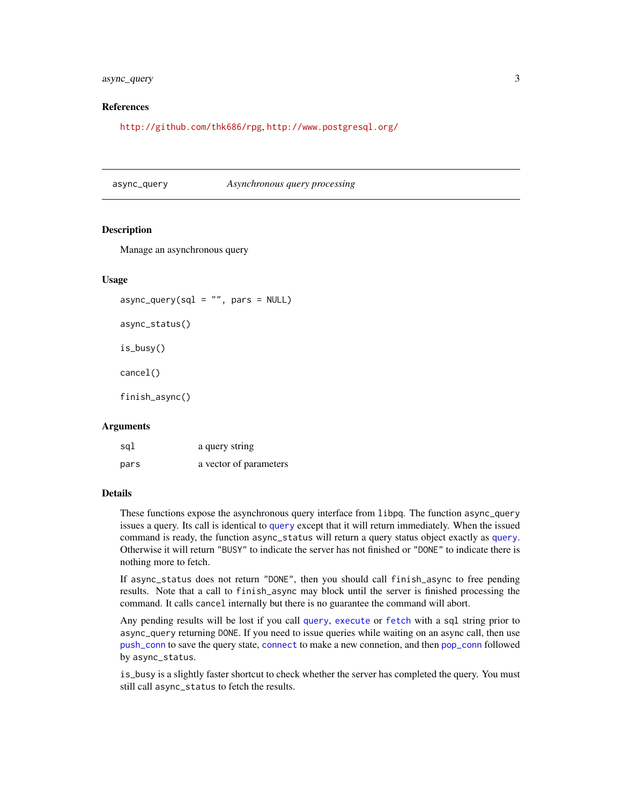# <span id="page-2-0"></span>async\_query 3

# References

<http://github.com/thk686/rpg>, <http://www.postgresql.org/>

async\_query *Asynchronous query processing*

# **Description**

Manage an asynchronous query

# Usage

 $async_query(sql = "", pars = NULL)$ 

async\_status()

is\_busy()

cancel()

finish\_async()

#### Arguments

| sql  | a query string         |
|------|------------------------|
| pars | a vector of parameters |

# Details

These functions expose the asynchronous query interface from libpq. The function async\_query issues a query. Its call is identical to [query](#page-21-1) except that it will return immediately. When the issued command is ready, the function async\_status will return a query status object exactly as [query](#page-21-1). Otherwise it will return "BUSY" to indicate the server has not finished or "DONE" to indicate there is nothing more to fetch.

If async\_status does not return "DONE", then you should call finish\_async to free pending results. Note that a call to finish\_async may block until the server is finished processing the command. It calls cancel internally but there is no guarantee the command will abort.

Any pending results will be lost if you call [query](#page-21-1), [execute](#page-21-1) or [fetch](#page-21-1) with a sql string prior to async\_query returning DONE. If you need to issue queries while waiting on an async call, then use [push\\_conn](#page-19-1) to save the query state, [connect](#page-6-1) to make a new connetion, and then [pop\\_conn](#page-19-2) followed by async\_status.

is\_busy is a slightly faster shortcut to check whether the server has completed the query. You must still call async\_status to fetch the results.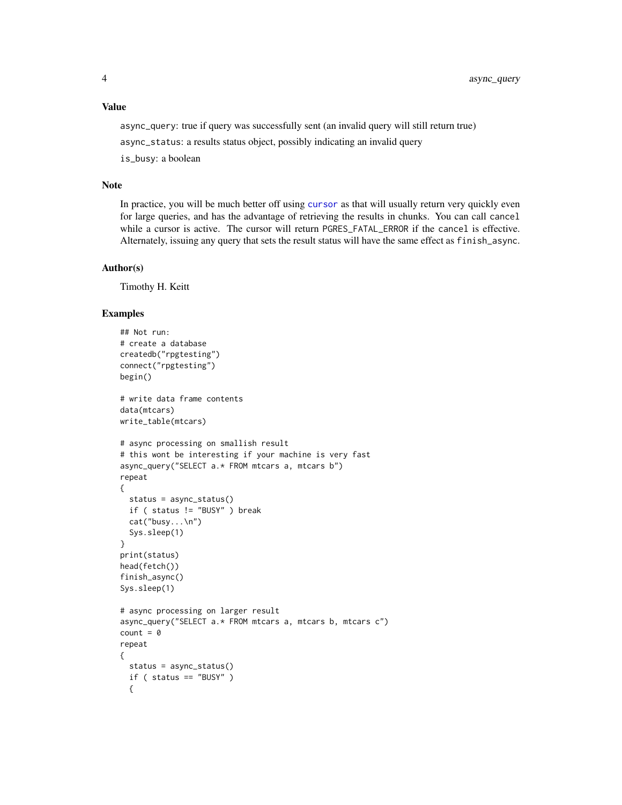# <span id="page-3-0"></span>Value

async\_query: true if query was successfully sent (an invalid query will still return true)

async\_status: a results status object, possibly indicating an invalid query

is\_busy: a boolean

# Note

In practice, you will be much better off using [cursor](#page-10-1) as that will usually return very quickly even for large queries, and has the advantage of retrieving the results in chunks. You can call cancel while a cursor is active. The cursor will return PGRES\_FATAL\_ERROR if the cancel is effective. Alternately, issuing any query that sets the result status will have the same effect as finish\_async.

# Author(s)

Timothy H. Keitt

# Examples

```
## Not run:
# create a database
createdb("rpgtesting")
connect("rpgtesting")
begin()
# write data frame contents
data(mtcars)
write_table(mtcars)
# async processing on smallish result
# this wont be interesting if your machine is very fast
async_query("SELECT a.* FROM mtcars a, mtcars b")
repeat
{
  status = async_status()
  if ( status != "BUSY" ) break
  cat("busy...\n")
  Sys.sleep(1)
}
print(status)
head(fetch())
finish_async()
Sys.sleep(1)
# async processing on larger result
async_query("SELECT a.* FROM mtcars a, mtcars b, mtcars c")
count = 0repeat
{
 status = async_status()
  if ( status == "BUSY" )
  {
```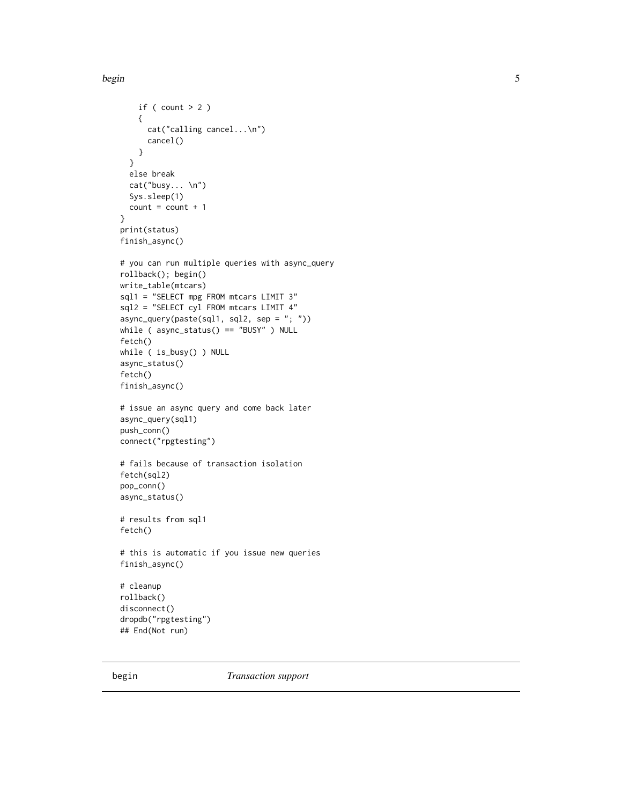#### <span id="page-4-0"></span>begin 5

```
if ( count > 2 )
   {
     cat("calling cancel...\n")
     cancel()
   }
  }
  else break
  cat("busy... \n")
  Sys.sleep(1)
  count = count + 1}
print(status)
finish_async()
# you can run multiple queries with async_query
rollback(); begin()
write_table(mtcars)
sql1 = "SELECT mpg FROM mtcars LIMIT 3"
sql2 = "SELECT cyl FROM mtcars LIMIT 4"
async_query(paste(sql1, sql2, sep = "; "))
while ( async_status() == "BUSY" ) NULL
fetch()
while ( is_busy() ) NULL
async_status()
fetch()
finish_async()
# issue an async query and come back later
async_query(sql1)
push_conn()
connect("rpgtesting")
# fails because of transaction isolation
fetch(sql2)
pop_conn()
async_status()
# results from sql1
fetch()
# this is automatic if you issue new queries
finish_async()
# cleanup
rollback()
disconnect()
dropdb("rpgtesting")
## End(Not run)
```
begin *Transaction support*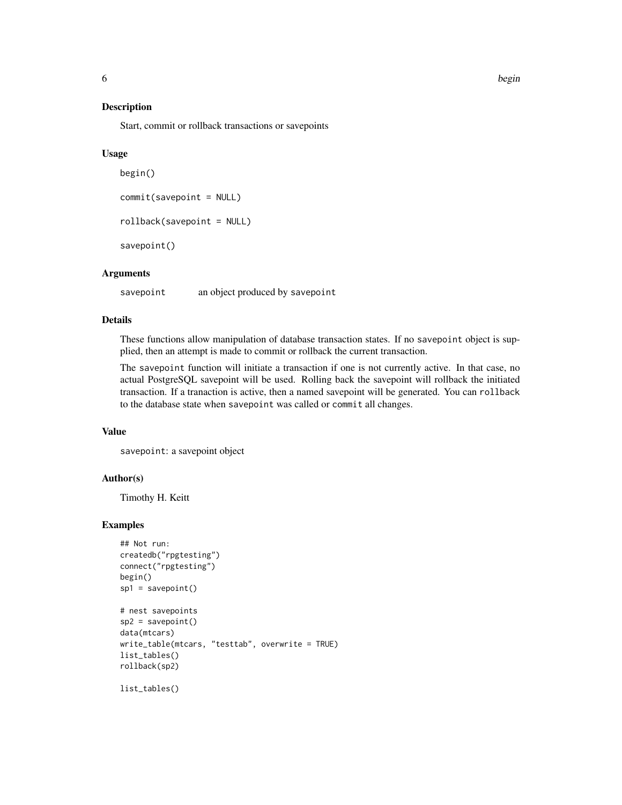### <span id="page-5-1"></span><span id="page-5-0"></span>Description

Start, commit or rollback transactions or savepoints

# Usage

```
begin()
commit(savepoint = NULL)
rollback(savepoint = NULL)
savepoint()
```
# Arguments

savepoint an object produced by savepoint

# Details

These functions allow manipulation of database transaction states. If no savepoint object is supplied, then an attempt is made to commit or rollback the current transaction.

The savepoint function will initiate a transaction if one is not currently active. In that case, no actual PostgreSQL savepoint will be used. Rolling back the savepoint will rollback the initiated transaction. If a tranaction is active, then a named savepoint will be generated. You can rollback to the database state when savepoint was called or commit all changes.

#### Value

savepoint: a savepoint object

### Author(s)

Timothy H. Keitt

# Examples

```
## Not run:
createdb("rpgtesting")
connect("rpgtesting")
begin()
sp1 = savepoint()
# nest savepoints
sp2 = savepoint()data(mtcars)
write_table(mtcars, "testtab", overwrite = TRUE)
list_tables()
rollback(sp2)
```
list\_tables()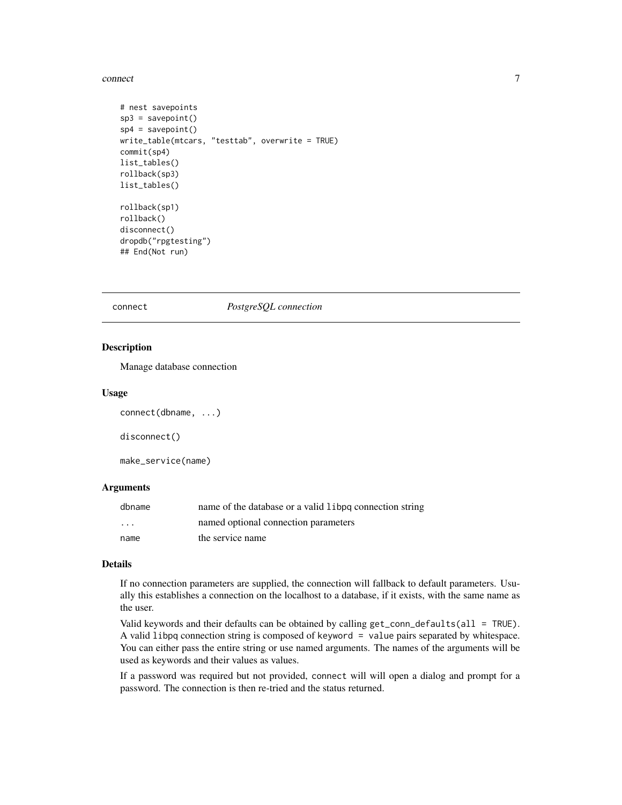#### <span id="page-6-0"></span>connect 7

```
# nest savepoints
sp3 = savepoint()
sp4 = savepoint()
write_table(mtcars, "testtab", overwrite = TRUE)
commit(sp4)
list_tables()
rollback(sp3)
list_tables()
rollback(sp1)
rollback()
disconnect()
dropdb("rpgtesting")
## End(Not run)
```
<span id="page-6-1"></span>

connect *PostgreSQL connection*

# Description

Manage database connection

#### Usage

connect(dbname, ...)

disconnect()

make\_service(name)

# Arguments

| dbname                  | name of the database or a valid libpq connection string |
|-------------------------|---------------------------------------------------------|
| $\cdot$ $\cdot$ $\cdot$ | named optional connection parameters                    |
| name                    | the service name                                        |

# Details

If no connection parameters are supplied, the connection will fallback to default parameters. Usually this establishes a connection on the localhost to a database, if it exists, with the same name as the user.

Valid keywords and their defaults can be obtained by calling get\_conn\_defaults(all = TRUE). A valid libpq connection string is composed of keyword = value pairs separated by whitespace. You can either pass the entire string or use named arguments. The names of the arguments will be used as keywords and their values as values.

If a password was required but not provided, connect will will open a dialog and prompt for a password. The connection is then re-tried and the status returned.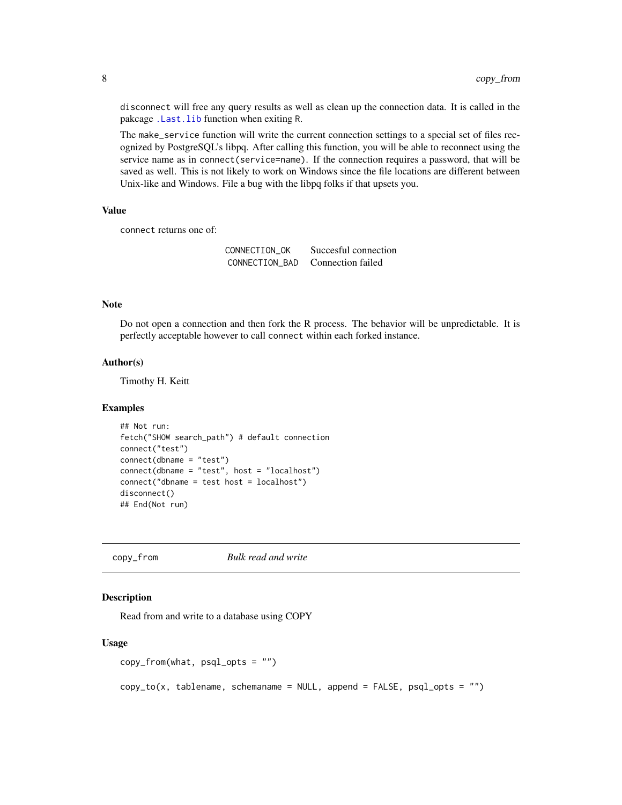disconnect will free any query results as well as clean up the connection data. It is called in the pakcage [.Last.lib](#page-0-0) function when exiting R.

The make\_service function will write the current connection settings to a special set of files recognized by PostgreSQL's libpq. After calling this function, you will be able to reconnect using the service name as in connect(service=name). If the connection requires a password, that will be saved as well. This is not likely to work on Windows since the file locations are different between Unix-like and Windows. File a bug with the libpq folks if that upsets you.

#### Value

connect returns one of:

CONNECTION\_OK Succesful connection CONNECTION\_BAD Connection failed

# Note

Do not open a connection and then fork the R process. The behavior will be unpredictable. It is perfectly acceptable however to call connect within each forked instance.

# Author(s)

Timothy H. Keitt

#### Examples

```
## Not run:
fetch("SHOW search_path") # default connection
connect("test")
connect(dbname = "test")
connect(dbname = "test", host = "localhost")
connect("dbname = test host = localhost")
disconnect()
## End(Not run)
```
<span id="page-7-2"></span>copy\_from *Bulk read and write*

# <span id="page-7-1"></span>Description

Read from and write to a database using COPY

#### Usage

```
copy_from(what, psql_opts = "")
```
 $copy_to(x, tablename, schemaname = NULL, append = FALSE, psql_opts = "")$ 

<span id="page-7-0"></span>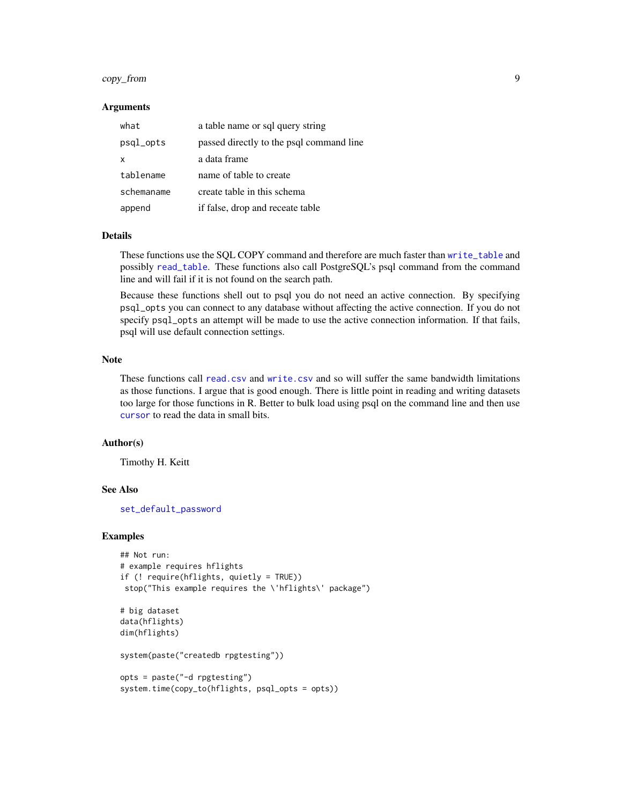# <span id="page-8-0"></span>copy\_from 9

#### Arguments

| what       | a table name or sql query string         |
|------------|------------------------------------------|
| psgl_opts  | passed directly to the psql command line |
| x          | a data frame                             |
| tablename  | name of table to create                  |
| schemaname | create table in this schema              |
| append     | if false, drop and receate table         |

## Details

These functions use the SQL COPY command and therefore are much faster than [write\\_table](#page-27-1) and possibly [read\\_table](#page-27-2). These functions also call PostgreSQL's psql command from the command line and will fail if it is not found on the search path.

Because these functions shell out to psql you do not need an active connection. By specifying psql\_opts you can connect to any database without affecting the active connection. If you do not specify psql\_opts an attempt will be made to use the active connection information. If that fails, psql will use default connection settings.

## Note

These functions call [read.csv](#page-0-0) and [write.csv](#page-0-0) and so will suffer the same bandwidth limitations as those functions. I argue that is good enough. There is little point in reading and writing datasets too large for those functions in R. Better to bulk load using psql on the command line and then use [cursor](#page-10-1) to read the data in small bits.

# Author(s)

Timothy H. Keitt

# See Also

[set\\_default\\_password](#page-15-1)

#### Examples

```
## Not run:
# example requires hflights
if (! require(hflights, quietly = TRUE))
stop("This example requires the \'hflights\' package")
# big dataset
data(hflights)
dim(hflights)
system(paste("createdb rpgtesting"))
opts = paste("-d rpgtesting")
system.time(copy_to(hflights, psql_opts = opts))
```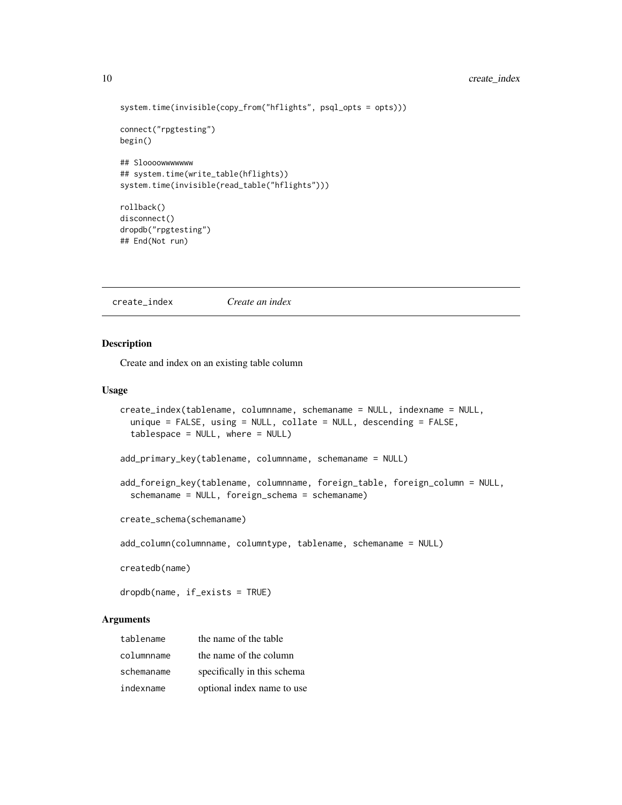# <span id="page-9-0"></span>10 create\_index

```
system.time(invisible(copy_from("hflights", psql_opts = opts)))
connect("rpgtesting")
begin()
## Sloooowwwwwww
## system.time(write_table(hflights))
system.time(invisible(read_table("hflights")))
rollback()
disconnect()
dropdb("rpgtesting")
## End(Not run)
```
create\_index *Create an index*

# Description

Create and index on an existing table column

# Usage

```
create_index(tablename, columnname, schemaname = NULL, indexname = NULL,
  unique = FALSE, using = NULL, collate = NULL, descending = FALSE,
  tablespace = NULL, where = NULL)
add_primary_key(tablename, columnname, schemaname = NULL)
add_foreign_key(tablename, columnname, foreign_table, foreign_column = NULL,
  schemaname = NULL, foreign_schema = schemaname)
create_schema(schemaname)
add_column(columnname, columntype, tablename, schemaname = NULL)
```
createdb(name)

dropdb(name, if\_exists = TRUE)

# Arguments

| tablename  | the name of the table       |
|------------|-----------------------------|
| columnname | the name of the column      |
| schemaname | specifically in this schema |
| indexname  | optional index name to use  |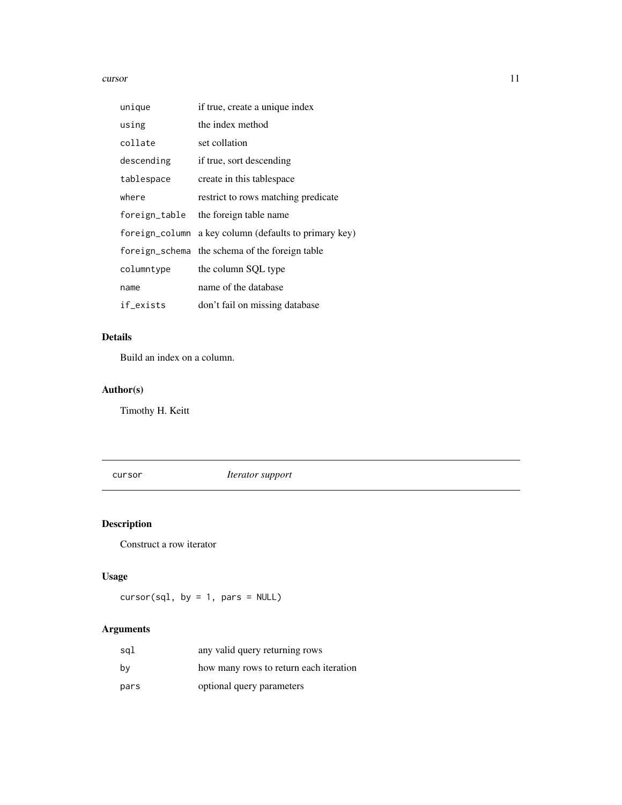#### <span id="page-10-0"></span>cursor that the cursor cursor of the cursor of the cursor of the cursor of the cursor of the cursor of the cursor of the cursor of the cursor of the cursor of the cursor of the cursor of the cursor of the cursor of the cur

| unique         | if true, create a unique index                 |
|----------------|------------------------------------------------|
| using          | the index method                               |
| collate        | set collation                                  |
| descending     | if true, sort descending                       |
| tablespace     | create in this tablespace                      |
| where          | restrict to rows matching predicate            |
| foreign_table  | the foreign table name                         |
| foreign_column | a key column (defaults to primary key)         |
|                | foreign_schema the schema of the foreign table |
| columntype     | the column SQL type                            |
| name           | name of the database                           |
| if_exists      | don't fail on missing database                 |

# Details

Build an index on a column.

# Author(s)

Timothy H. Keitt

<span id="page-10-1"></span>cursor *Iterator support*

# Description

Construct a row iterator

# Usage

 $cursor(sql, by = 1, pars = NULL)$ 

# Arguments

| sql  | any valid query returning rows         |
|------|----------------------------------------|
| by   | how many rows to return each iteration |
| pars | optional query parameters              |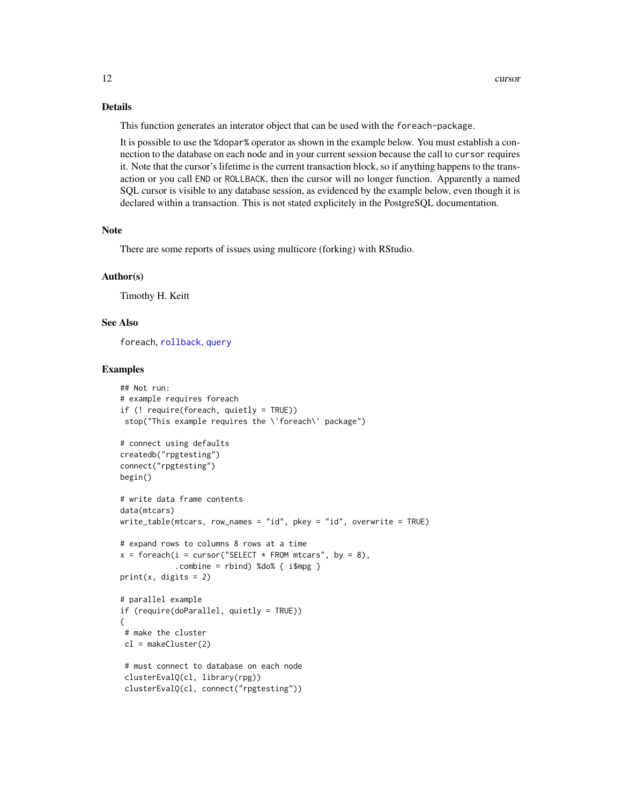# <span id="page-11-0"></span>Details

This function generates an interator object that can be used with the foreach-package.

It is possible to use the %dopar% operator as shown in the example below. You must establish a connection to the database on each node and in your current session because the call to cursor requires it. Note that the cursor's lifetime is the current transaction block, so if anything happens to the transaction or you call END or ROLLBACK, then the cursor will no longer function. Apparently a named SQL cursor is visible to any database session, as evidenced by the example below, even though it is declared within a transaction. This is not stated explicitely in the PostgreSQL documentation.

#### Note

There are some reports of issues using multicore (forking) with RStudio.

#### Author(s)

Timothy H. Keitt

# See Also

foreach, [rollback](#page-5-0), [query](#page-21-1)

#### Examples

```
## Not run:
# example requires foreach
if (! require(foreach, quietly = TRUE))
 stop("This example requires the \'foreach\' package")
# connect using defaults
createdb("rpgtesting")
connect("rpgtesting")
begin()
# write data frame contents
data(mtcars)
write_table(mtcars, row_names = "id", pkey = "id", overwrite = TRUE)
# expand rows to columns 8 rows at a time
x = foreach(i = cursor("SELECT * FROM mtcars", by = 8),
            count = \text{rbind} %do% { ispg }
print(x, \text{ digits} = 2)# parallel example
if (require(doParallel, quietly = TRUE))
{
 # make the cluster
 cl = makeCluster(2)
 # must connect to database on each node
 clusterEvalQ(cl, library(rpg))
 clusterEvalQ(cl, connect("rpgtesting"))
```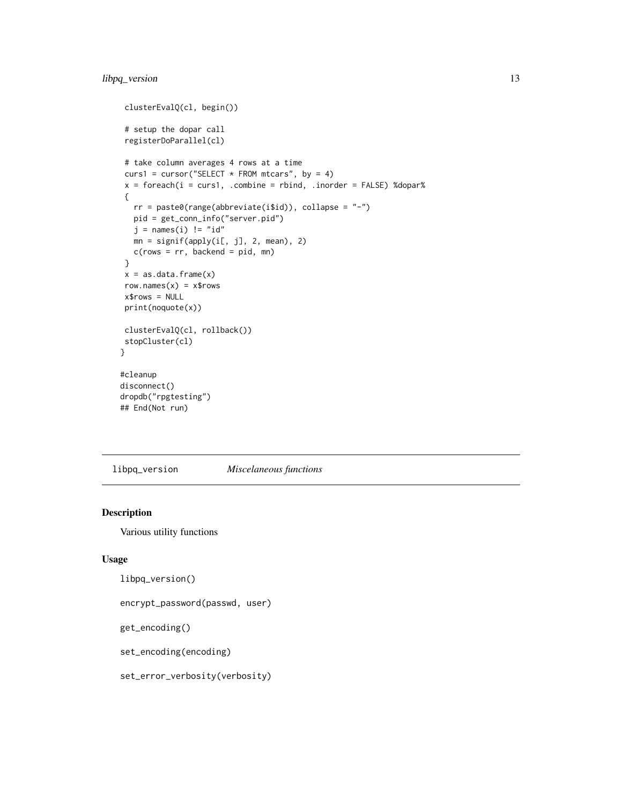# <span id="page-12-0"></span>libpq\_version 13

```
clusterEvalQ(cl, begin())
# setup the dopar call
registerDoParallel(cl)
# take column averages 4 rows at a time
curs1 = cursor("SELECT * FROM mtcars", by = 4)
x = foreach(i = curs1, .combine = rbind, .inorder = FALSE) %dopar%
{
   rr = paste0(range(abbreviate(i$id)), collapse = "-")pid = get_conn_info("server.pid")
   j = names(i) != "id"mn = signif(apply(i[, j], 2, mean), 2)c(\text{rows} = \text{rr}, \text{backend} = \text{pid}, \text{mn})}
x = as.data-frame(x)row.names(x) = x$rows
x$rows = NULL
print(noquote(x))
clusterEvalQ(cl, rollback())
stopCluster(cl)
}
#cleanup
disconnect()
dropdb("rpgtesting")
```
## End(Not run)

libpq\_version *Miscelaneous functions*

#### Description

Various utility functions

# Usage

```
libpq_version()
```
encrypt\_password(passwd, user)

get\_encoding()

set\_encoding(encoding)

set\_error\_verbosity(verbosity)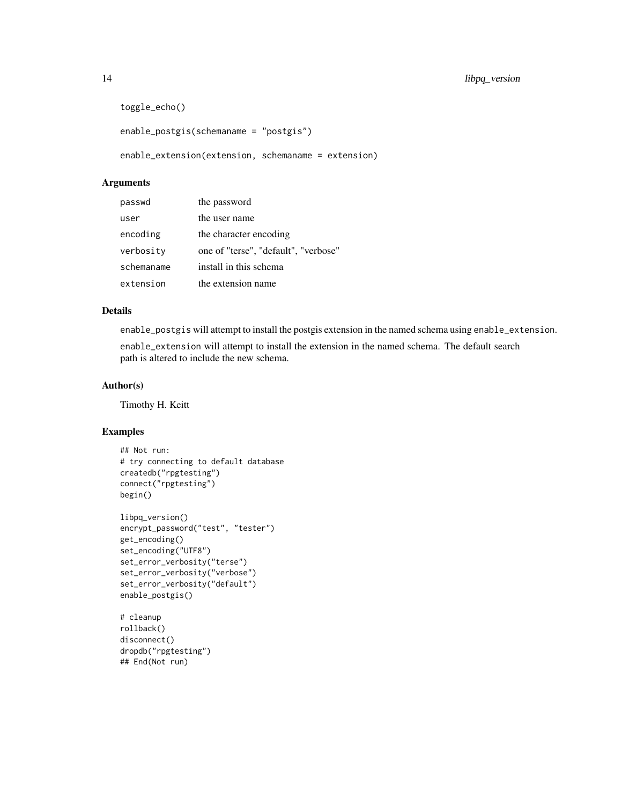```
toggle_echo()
enable_postgis(schemaname = "postgis")
```
enable\_extension(extension, schemaname = extension)

#### Arguments

| passwd     | the password                         |
|------------|--------------------------------------|
| user       | the user name                        |
| encoding   | the character encoding               |
| verbosity  | one of "terse", "default", "verbose" |
| schemaname | install in this schema               |
| extension  | the extension name                   |

# Details

enable\_postgis will attempt to install the postgis extension in the named schema using enable\_extension.

enable\_extension will attempt to install the extension in the named schema. The default search path is altered to include the new schema.

# Author(s)

Timothy H. Keitt

# Examples

```
## Not run:
# try connecting to default database
createdb("rpgtesting")
connect("rpgtesting")
begin()
libpq_version()
encrypt_password("test", "tester")
get_encoding()
set_encoding("UTF8")
set_error_verbosity("terse")
set_error_verbosity("verbose")
set_error_verbosity("default")
enable_postgis()
# cleanup
```

```
rollback()
disconnect()
dropdb("rpgtesting")
## End(Not run)
```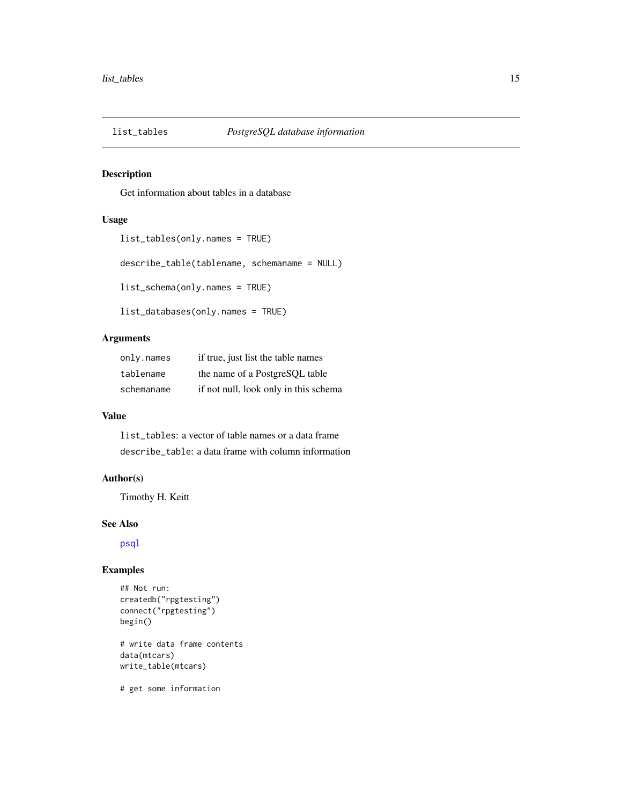<span id="page-14-0"></span>

# Description

Get information about tables in a database

# Usage

```
list_tables(only.names = TRUE)
describe_table(tablename, schemaname = NULL)
list_schema(only.names = TRUE)
list_databases(only.names = TRUE)
```
# Arguments

| only.names | if true, just list the table names    |
|------------|---------------------------------------|
| tablename  | the name of a PostgreSQL table        |
| schemaname | if not null, look only in this schema |

### Value

list\_tables: a vector of table names or a data frame describe\_table: a data frame with column information

# Author(s)

Timothy H. Keitt

# See Also

[psql](#page-18-1)

# Examples

```
## Not run:
createdb("rpgtesting")
connect("rpgtesting")
begin()
# write data frame contents
data(mtcars)
write_table(mtcars)
```
# get some information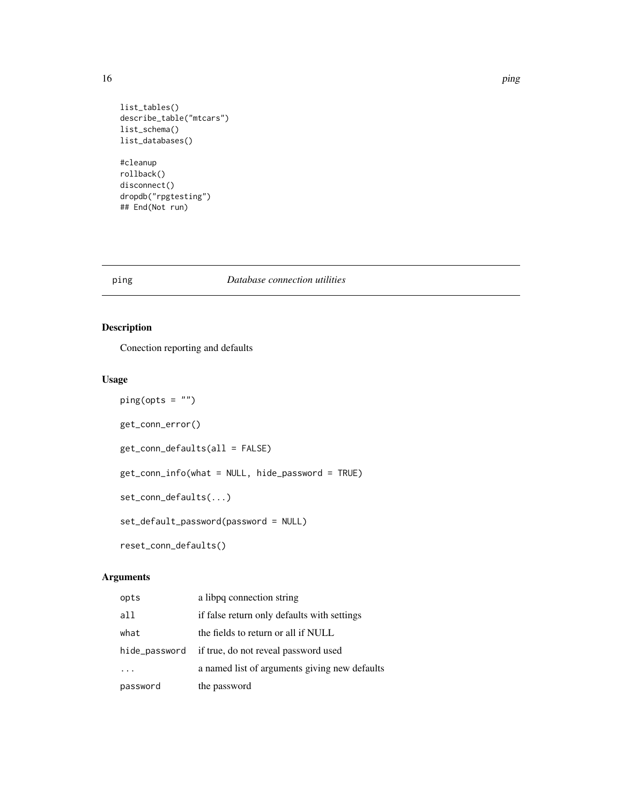list\_tables() describe\_table("mtcars") list\_schema() list\_databases() #cleanup

rollback() disconnect() dropdb("rpgtesting") ## End(Not run)

# ping *Database connection utilities*

# <span id="page-15-1"></span>Description

Conection reporting and defaults

# Usage

```
ping(opts = "")
get_conn_error()
get_conn_defaults(all = FALSE)
get_conn_info(what = NULL, hide_password = TRUE)
set_conn_defaults(...)
set_default_password(password = NULL)
reset_conn_defaults()
```
# Arguments

| opts          | a libpq connection string                     |
|---------------|-----------------------------------------------|
| a11           | if false return only defaults with settings   |
| what          | the fields to return or all if NULL           |
| hide_password | if true, do not reveal password used          |
|               | a named list of arguments giving new defaults |
| password      | the password                                  |

<span id="page-15-0"></span>16 **ping** ping the state of the state of the state of the state of the state of the state of the state of the state of the state of the state of the state of the state of the state of the state of the state of the state of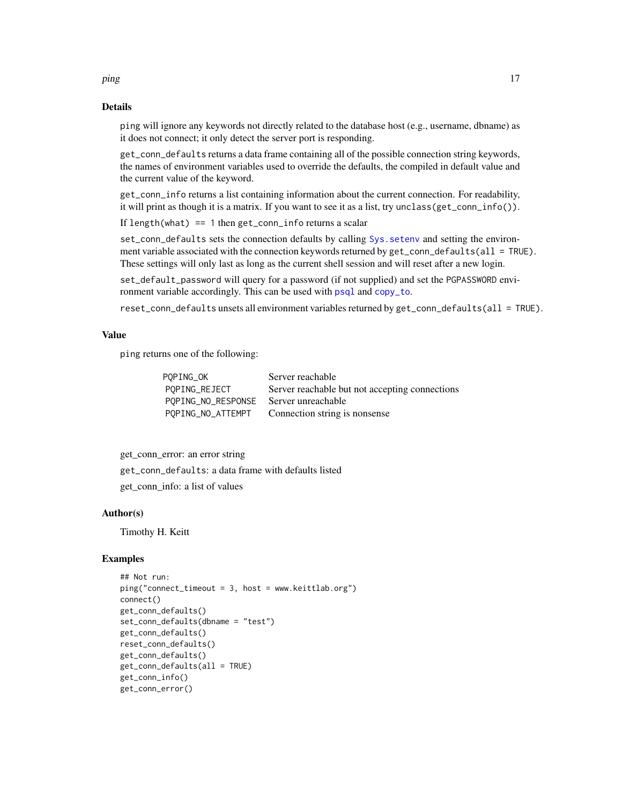# Details

ping will ignore any keywords not directly related to the database host (e.g., username, dbname) as it does not connect; it only detect the server port is responding.

get\_conn\_defaults returns a data frame containing all of the possible connection string keywords, the names of environment variables used to override the defaults, the compiled in default value and the current value of the keyword.

get\_conn\_info returns a list containing information about the current connection. For readability, it will print as though it is a matrix. If you want to see it as a list, try unclass(get\_conn\_info()).

If length(what) == 1 then get\_conn\_info returns a scalar

set\_conn\_defaults sets the connection defaults by calling [Sys.setenv](#page-0-0) and setting the environment variable associated with the connection keywords returned by get\_conn\_defaults(all = TRUE). These settings will only last as long as the current shell session and will reset after a new login.

set\_default\_password will query for a password (if not supplied) and set the PGPASSWORD environment variable accordingly. This can be used with [psql](#page-18-1) and [copy\\_to](#page-7-1).

reset\_conn\_defaults unsets all environment variables returned by get\_conn\_defaults(all = TRUE).

# Value

ping returns one of the following:

| POPING_OK          | Server reachable                               |
|--------------------|------------------------------------------------|
| POPING_REJECT      | Server reachable but not accepting connections |
| POPING_NO_RESPONSE | Server unreachable                             |
| POPING_NO_ATTEMPT  | Connection string is nonsense                  |

get\_conn\_error: an error string

get\_conn\_defaults: a data frame with defaults listed

get\_conn\_info: a list of values

# Author(s)

Timothy H. Keitt

# Examples

```
## Not run:
ping("connect_timeout = 3, host = www.keittlab.org")
connect()
get_conn_defaults()
set_conn_defaults(dbname = "test")
get_conn_defaults()
reset_conn_defaults()
get_conn_defaults()
get_conn_defaults(all = TRUE)
get_conn_info()
get_conn_error()
```
<span id="page-16-0"></span>ping the contract of the contract of the contract of the contract of the contract of the contract of the contract of the contract of the contract of the contract of the contract of the contract of the contract of the contr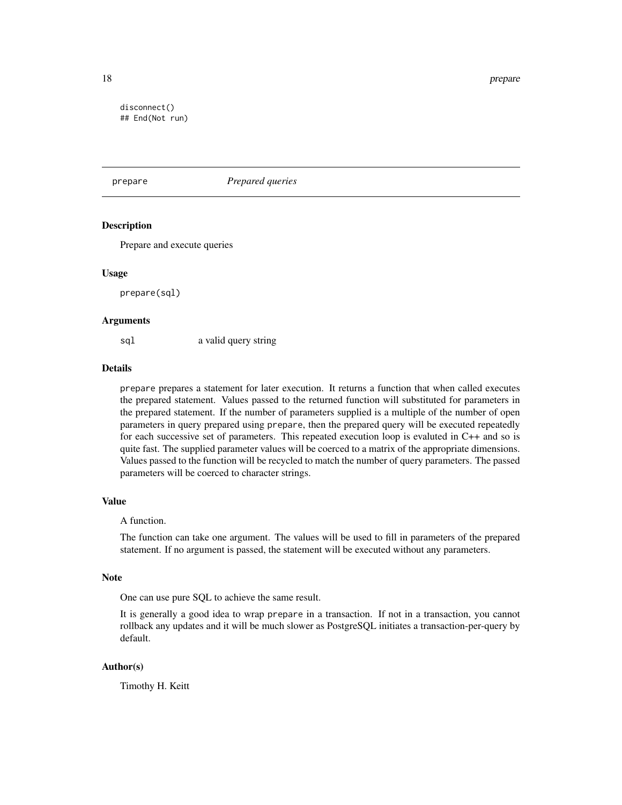<span id="page-17-0"></span>18 prepare

disconnect() ## End(Not run)

# prepare *Prepared queries*

# **Description**

Prepare and execute queries

#### Usage

prepare(sql)

#### Arguments

sql a valid query string

# Details

prepare prepares a statement for later execution. It returns a function that when called executes the prepared statement. Values passed to the returned function will substituted for parameters in the prepared statement. If the number of parameters supplied is a multiple of the number of open parameters in query prepared using prepare, then the prepared query will be executed repeatedly for each successive set of parameters. This repeated execution loop is evaluted in C++ and so is quite fast. The supplied parameter values will be coerced to a matrix of the appropriate dimensions. Values passed to the function will be recycled to match the number of query parameters. The passed parameters will be coerced to character strings.

#### Value

# A function.

The function can take one argument. The values will be used to fill in parameters of the prepared statement. If no argument is passed, the statement will be executed without any parameters.

#### Note

One can use pure SQL to achieve the same result.

It is generally a good idea to wrap prepare in a transaction. If not in a transaction, you cannot rollback any updates and it will be much slower as PostgreSQL initiates a transaction-per-query by default.

# Author(s)

Timothy H. Keitt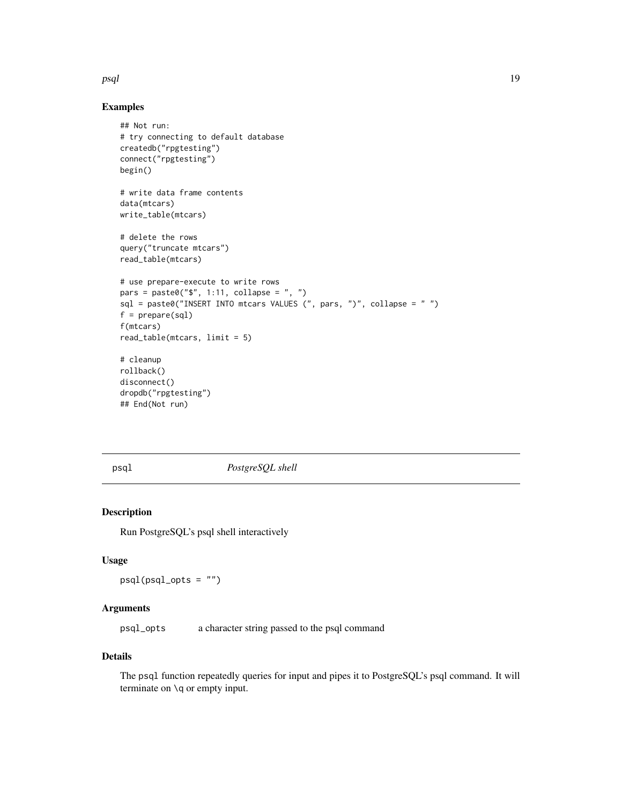#### <span id="page-18-0"></span>psql and the contract of the contract of the contract of the contract of the contract of the contract of the contract of the contract of the contract of the contract of the contract of the contract of the contract of the c

# Examples

```
## Not run:
# try connecting to default database
createdb("rpgtesting")
connect("rpgtesting")
begin()
# write data frame contents
data(mtcars)
write_table(mtcars)
# delete the rows
query("truncate mtcars")
read_table(mtcars)
# use prepare-execute to write rows
pars = paste0("\", 1:11, collapse = ", ")
sql = paste0("INSERT INTO mtcars VALUES (", pars, ")", collapse = " ")
f = prepare(sql)
f(mtcars)
read_table(mtcars, limit = 5)
# cleanup
rollback()
disconnect()
dropdb("rpgtesting")
## End(Not run)
```
<span id="page-18-1"></span>

psql *PostgreSQL shell*

# Description

Run PostgreSQL's psql shell interactively

#### Usage

psql(psql\_opts = "")

# Arguments

psql\_opts a character string passed to the psql command

# Details

The psql function repeatedly queries for input and pipes it to PostgreSQL's psql command. It will terminate on \q or empty input.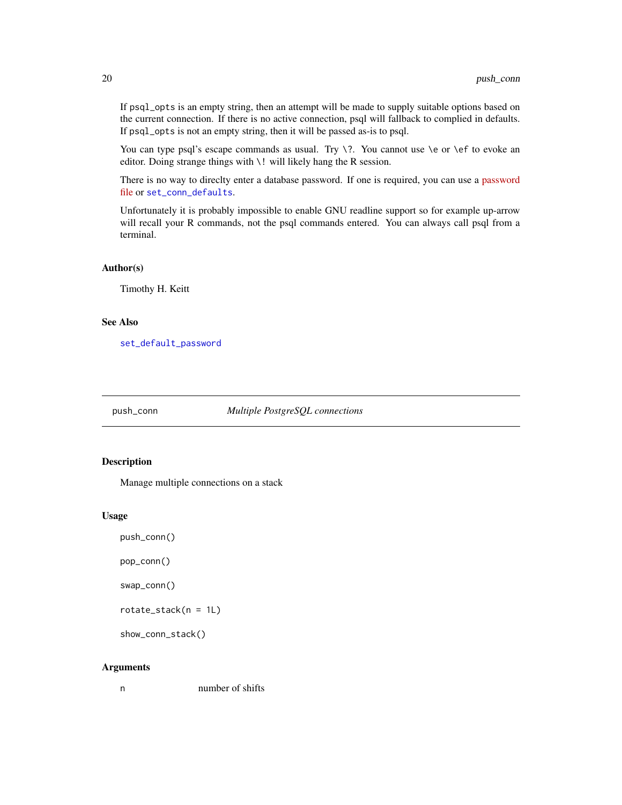If psql\_opts is an empty string, then an attempt will be made to supply suitable options based on the current connection. If there is no active connection, psql will fallback to complied in defaults. If psql\_opts is not an empty string, then it will be passed as-is to psql.

You can type psql's escape commands as usual. Try  $\$ ?. You cannot use  $\$ e or  $\$ ef to evoke an editor. Doing strange things with \! will likely hang the R session.

There is no way to direclty enter a database password. If one is required, you can use a [password](http://www.postgresql.org/docs/9.1/static/libpq-pgpass.html) [file](http://www.postgresql.org/docs/9.1/static/libpq-pgpass.html) or [set\\_conn\\_defaults](#page-15-1).

Unfortunately it is probably impossible to enable GNU readline support so for example up-arrow will recall your R commands, not the psql commands entered. You can always call psql from a terminal.

#### Author(s)

Timothy H. Keitt

#### See Also

[set\\_default\\_password](#page-15-1)

<span id="page-19-1"></span>push\_conn *Multiple PostgreSQL connections*

#### <span id="page-19-2"></span>Description

Manage multiple connections on a stack

#### Usage

push\_conn()

pop\_conn()

swap\_conn()

rotate\_stack(n = 1L)

show\_conn\_stack()

#### Arguments

n number of shifts

<span id="page-19-0"></span>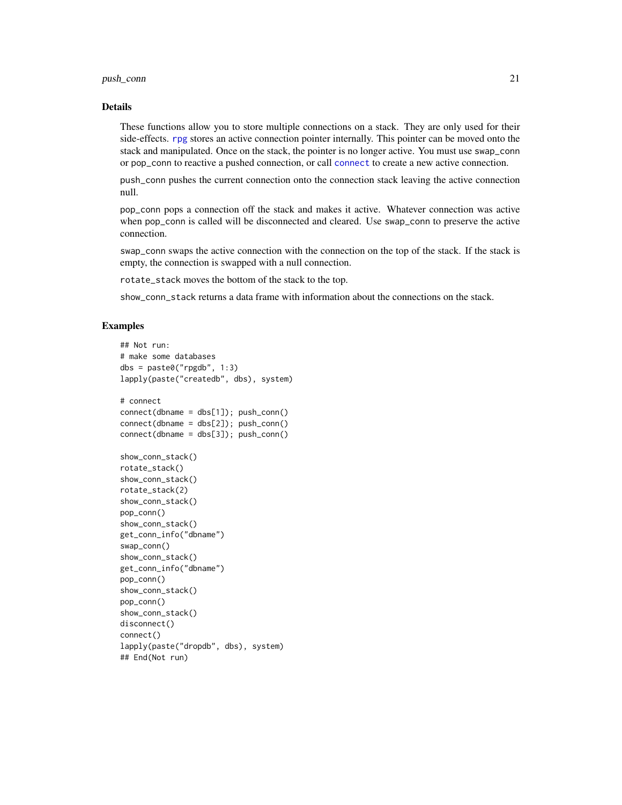# <span id="page-20-0"></span>push\_conn 21

#### Details

These functions allow you to store multiple connections on a stack. They are only used for their side-effects. [rpg](#page-1-1) stores an active connection pointer internally. This pointer can be moved onto the stack and manipulated. Once on the stack, the pointer is no longer active. You must use swap\_conn or pop\_conn to reactive a pushed connection, or call [connect](#page-6-1) to create a new active connection.

push\_conn pushes the current connection onto the connection stack leaving the active connection null.

pop\_conn pops a connection off the stack and makes it active. Whatever connection was active when pop\_conn is called will be disconnected and cleared. Use swap\_conn to preserve the active connection.

swap\_conn swaps the active connection with the connection on the top of the stack. If the stack is empty, the connection is swapped with a null connection.

rotate\_stack moves the bottom of the stack to the top.

show\_conn\_stack returns a data frame with information about the connections on the stack.

# Examples

```
## Not run:
# make some databases
dbs = paste@("rpgdb", 1:3)lapply(paste("createdb", dbs), system)
# connect
connect(dbname = dbs[1]); push_conn()
connect(dbname = dbs[2]); push_conn()
connect(dbname = dbs[3]); push_conn()
show_conn_stack()
rotate_stack()
show_conn_stack()
rotate_stack(2)
show_conn_stack()
pop_conn()
show_conn_stack()
get_conn_info("dbname")
swap_conn()
show_conn_stack()
get_conn_info("dbname")
pop_conn()
show_conn_stack()
pop_conn()
show_conn_stack()
disconnect()
connect()
lapply(paste("dropdb", dbs), system)
## End(Not run)
```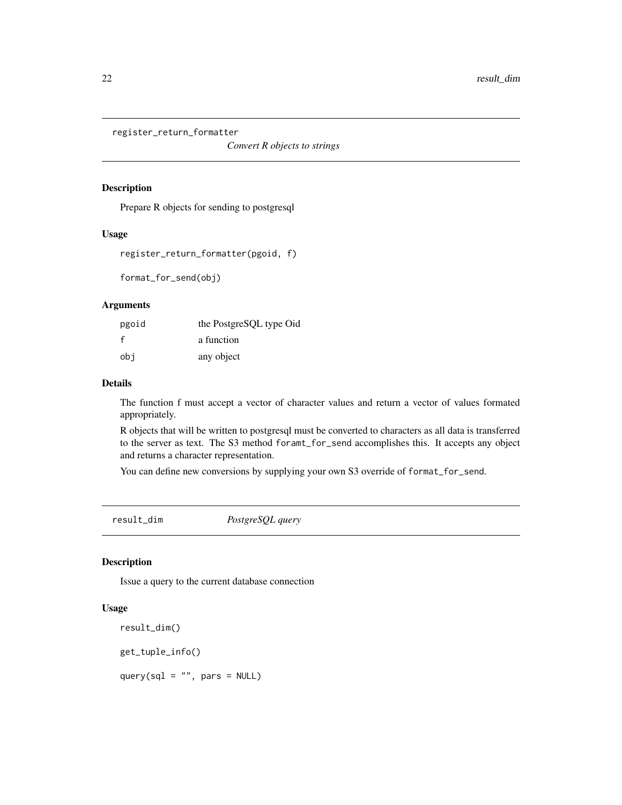<span id="page-21-0"></span>register\_return\_formatter

*Convert R objects to strings*

#### Description

Prepare R objects for sending to postgresql

# Usage

```
register_return_formatter(pgoid, f)
```
format\_for\_send(obj)

#### Arguments

| pgoid | the PostgreSQL type Oid |
|-------|-------------------------|
|       | a function              |
| obi   | any object              |

# Details

The function f must accept a vector of character values and return a vector of values formated appropriately.

R objects that will be written to postgresql must be converted to characters as all data is transferred to the server as text. The S3 method foramt\_for\_send accomplishes this. It accepts any object and returns a character representation.

You can define new conversions by supplying your own S3 override of format\_for\_send.

result\_dim *PostgreSQL query*

# <span id="page-21-1"></span>Description

Issue a query to the current database connection

# Usage

result\_dim()

get\_tuple\_info()

query(sql =  $"$ , pars = NULL)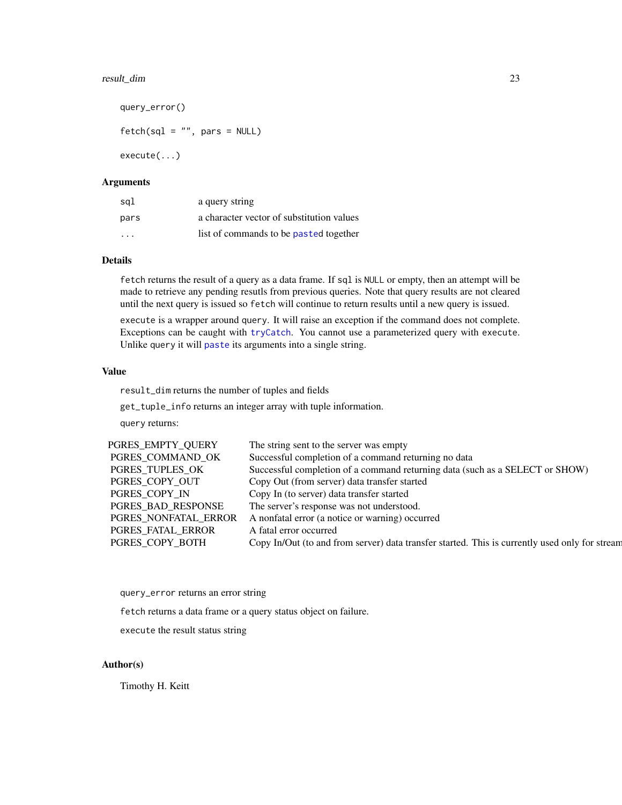# <span id="page-22-0"></span>result\_dim 23

```
query_error()
fetch(sql = "", pars = NULL)execute(...)
```
### Arguments

| sql                     | a query string                            |
|-------------------------|-------------------------------------------|
| pars                    | a character vector of substitution values |
| $\cdot$ $\cdot$ $\cdot$ | list of commands to be pasted together    |

# Details

fetch returns the result of a query as a data frame. If sql is NULL or empty, then an attempt will be made to retrieve any pending resutls from previous queries. Note that query results are not cleared until the next query is issued so fetch will continue to return results until a new query is issued.

execute is a wrapper around query. It will raise an exception if the command does not complete. Exceptions can be caught with [tryCatch](#page-0-0). You cannot use a parameterized query with execute. Unlike query it will [paste](#page-0-0) its arguments into a single string.

# Value

result\_dim returns the number of tuples and fields

get\_tuple\_info returns an integer array with tuple information.

query returns:

| PGRES EMPTY QUERY    | The string sent to the server was empty                                                        |
|----------------------|------------------------------------------------------------------------------------------------|
| PGRES COMMAND OK     | Successful completion of a command returning no data                                           |
| PGRES TUPLES OK      | Successful completion of a command returning data (such as a SELECT or SHOW)                   |
| PGRES COPY OUT       | Copy Out (from server) data transfer started                                                   |
| PGRES COPY IN        | Copy In (to server) data transfer started                                                      |
| PGRES BAD RESPONSE   | The server's response was not understood.                                                      |
| PGRES NONFATAL ERROR | A nonfatal error (a notice or warning) occurred                                                |
| PGRES FATAL ERROR    | A fatal error occurred                                                                         |
| PGRES_COPY_BOTH      | Copy In/Out (to and from server) data transfer started. This is currently used only for stream |
|                      |                                                                                                |

query\_error returns an error string

fetch returns a data frame or a query status object on failure.

execute the result status string

# Author(s)

Timothy H. Keitt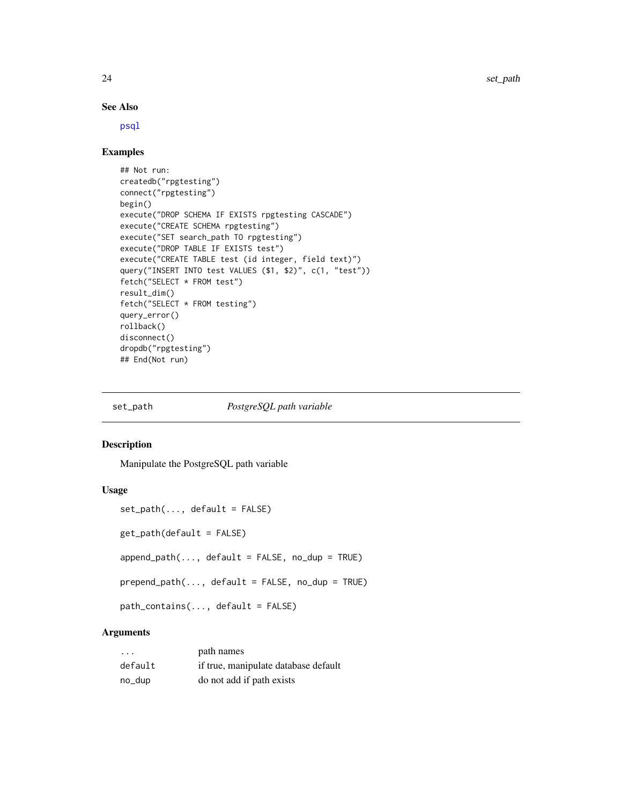# See Also

[psql](#page-18-1)

# Examples

```
## Not run:
createdb("rpgtesting")
connect("rpgtesting")
begin()
execute("DROP SCHEMA IF EXISTS rpgtesting CASCADE")
execute("CREATE SCHEMA rpgtesting")
execute("SET search_path TO rpgtesting")
execute("DROP TABLE IF EXISTS test")
execute("CREATE TABLE test (id integer, field text)")
query("INSERT INTO test VALUES ($1, $2)", c(1, "test"))
fetch("SELECT * FROM test")
result_dim()
fetch("SELECT * FROM testing")
query_error()
rollback()
disconnect()
dropdb("rpgtesting")
## End(Not run)
```
#### set\_path *PostgreSQL path variable*

#### Description

Manipulate the PostgreSQL path variable

#### Usage

```
set_path(..., default = FALSE)
get_path(default = FALSE)
append_path(..., default = FALSE, no_dup = TRUE)
prepend\_path(..., default = FALSE, no\_dup = TRUE)path_contains(..., default = FALSE)
```
# Arguments

| $\cdot$ | path names                           |
|---------|--------------------------------------|
| default | if true, manipulate database default |
| no_dup  | do not add if path exists            |

<span id="page-23-0"></span>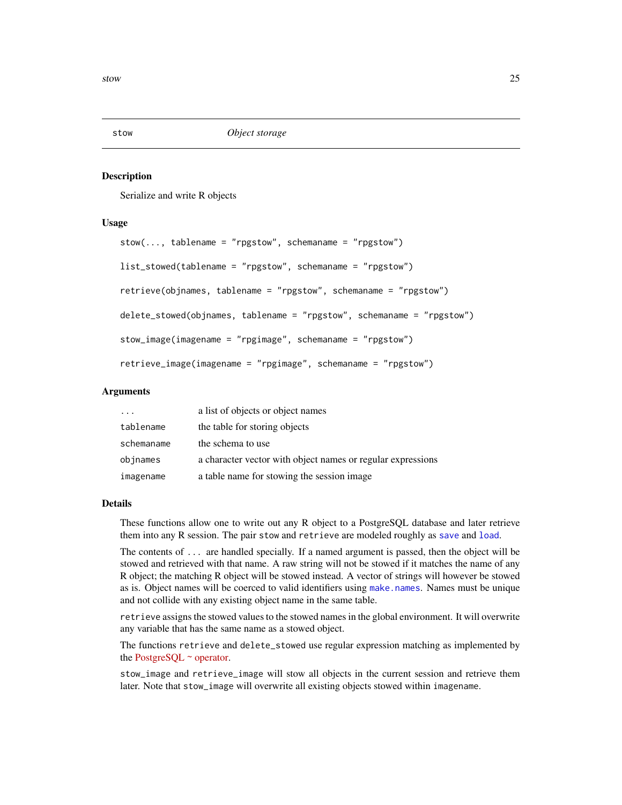<span id="page-24-0"></span>

#### Description

Serialize and write R objects

# Usage

```
stow(..., tablename = "rgstow", schemaname = "rgstow")list_stowed(tablename = "rpgstow", schemaname = "rpgstow")
retrieve(objnames, tablename = "rpgstow", schemaname = "rpgstow")
delete_stowed(objnames, tablename = "rpgstow", schemaname = "rpgstow")
stow_image(imagename = "rpgimage", schemaname = "rpgstow")
retrieve_image(imagename = "rpgimage", schemaname = "rpgstow")
```
# Arguments

| $\cdot$ $\cdot$ $\cdot$ | a list of objects or object names                           |
|-------------------------|-------------------------------------------------------------|
| tablename               | the table for storing objects                               |
| schemaname              | the schema to use                                           |
| objnames                | a character vector with object names or regular expressions |
| imagename               | a table name for stowing the session image                  |

# Details

These functions allow one to write out any R object to a PostgreSQL database and later retrieve them into any R session. The pair stow and retrieve are modeled roughly as [save](#page-0-0) and [load](#page-0-0).

The contents of ... are handled specially. If a named argument is passed, then the object will be stowed and retrieved with that name. A raw string will not be stowed if it matches the name of any R object; the matching R object will be stowed instead. A vector of strings will however be stowed as is. Object names will be coerced to valid identifiers using [make.names](#page-0-0). Names must be unique and not collide with any existing object name in the same table.

retrieve assigns the stowed values to the stowed names in the global environment. It will overwrite any variable that has the same name as a stowed object.

The functions retrieve and delete\_stowed use regular expression matching as implemented by the [PostgreSQL](http://www.postgresql.org/docs/9.1/static/functions-matching.html)  $\sim$  operator.

stow\_image and retrieve\_image will stow all objects in the current session and retrieve them later. Note that stow\_image will overwrite all existing objects stowed within imagename.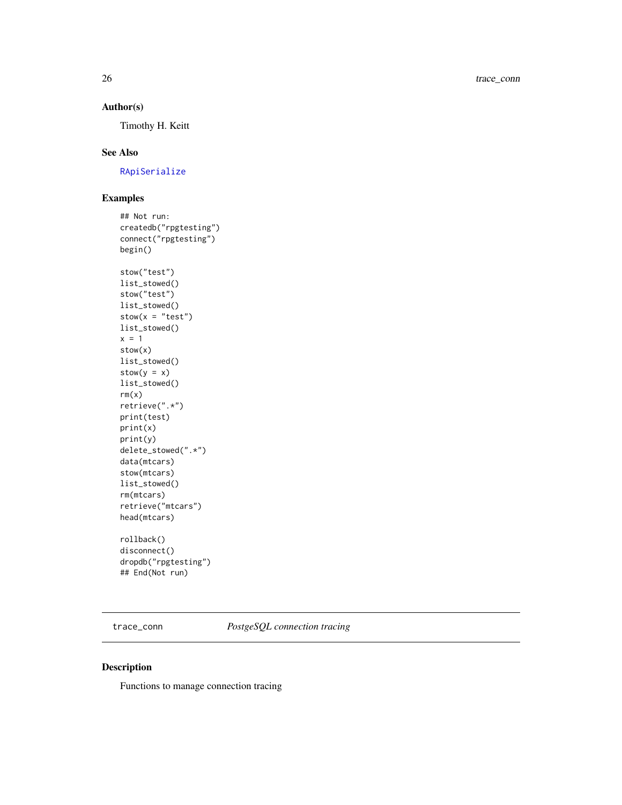# Author(s)

Timothy H. Keitt

# See Also

[RApiSerialize](#page-0-0)

# Examples

```
## Not run:
createdb("rpgtesting")
connect("rpgtesting")
begin()
stow("test")
list_stowed()
stow("test")
list_stowed()
stow(x = "test")list_stowed()
x = 1stow(x)
list_stowed()
stow(y = x)list_stowed()
rm(x)retrieve(".*")
print(test)
print(x)
print(y)
delete_stowed(".*")
data(mtcars)
stow(mtcars)
list_stowed()
rm(mtcars)
retrieve("mtcars")
head(mtcars)
rollback()
disconnect()
dropdb("rpgtesting")
## End(Not run)
```
trace\_conn *PostgeSQL connection tracing*

# Description

Functions to manage connection tracing

<span id="page-25-0"></span>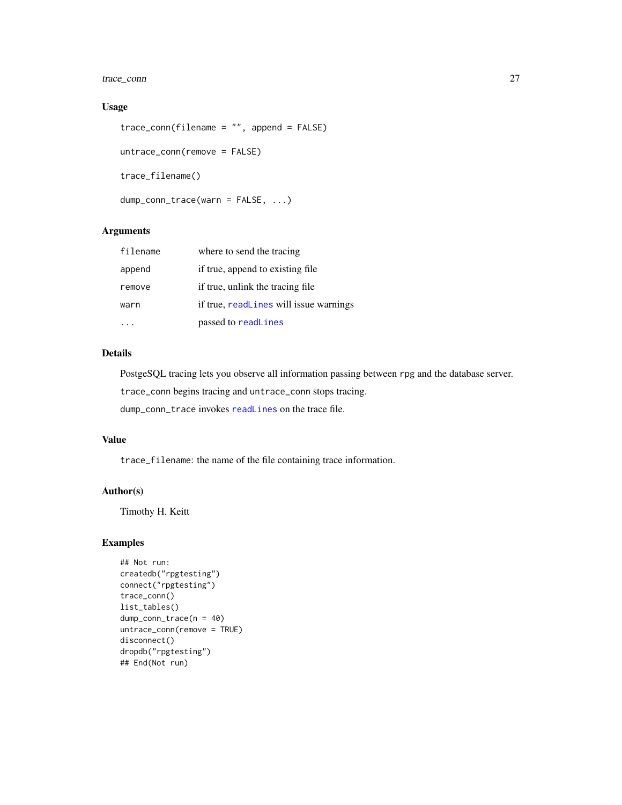# <span id="page-26-0"></span>trace\_conn 27

# Usage

```
trace_conn(filename = "", append = FALSE)
untrace_conn(remove = FALSE)
trace_filename()
dump_conn_trace(warn = FALSE, ...)
```
# Arguments

| filename | where to send the tracing              |
|----------|----------------------------------------|
| append   | if true, append to existing file.      |
| remove   | if true, unlink the tracing file       |
| warn     | if true, readLines will issue warnings |
|          | passed to readLines                    |

# Details

PostgeSQL tracing lets you observe all information passing between rpg and the database server.

trace\_conn begins tracing and untrace\_conn stops tracing.

dump\_conn\_trace invokes [readLines](#page-0-0) on the trace file.

# Value

trace\_filename: the name of the file containing trace information.

# Author(s)

Timothy H. Keitt

# Examples

```
## Not run:
createdb("rpgtesting")
connect("rpgtesting")
trace_conn()
list_tables()
dump_conn_trace(n = 40)
untrace_conn(remove = TRUE)
disconnect()
dropdb("rpgtesting")
## End(Not run)
```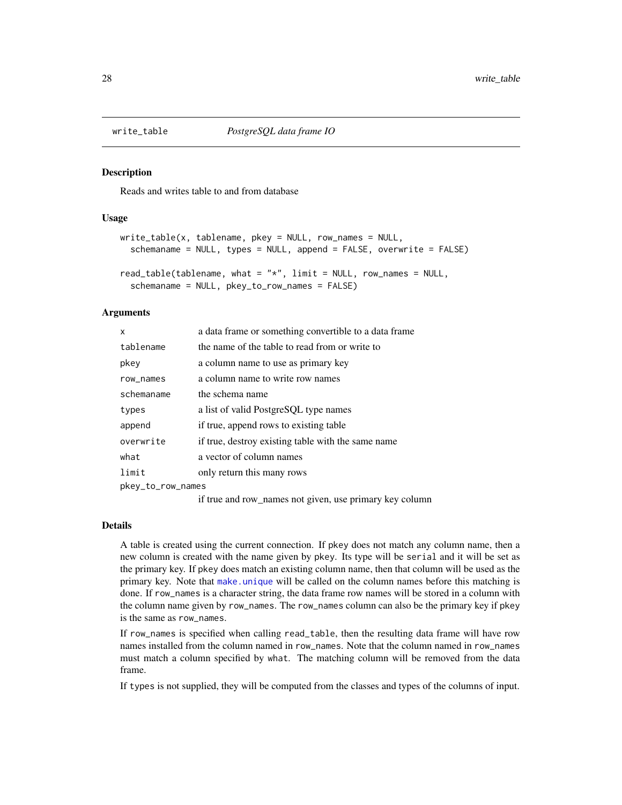<span id="page-27-1"></span><span id="page-27-0"></span>

# <span id="page-27-2"></span>Description

Reads and writes table to and from database

#### Usage

```
write_table(x, tablename, pkey = NULL, row_names = NULL,
  schemaname = NULL, types = NULL, append = FALSE, overwrite = FALSE)
read_table(tablename, what = "*", limit = NULL, row_names = NULL,
  schemaname = NULL, pkey_to_row_names = FALSE)
```
#### Arguments

| x                 | a data frame or something convertible to a data frame.  |
|-------------------|---------------------------------------------------------|
| tablename         | the name of the table to read from or write to          |
| pkey              | a column name to use as primary key                     |
| row_names         | a column name to write row names                        |
| schemaname        | the schema name                                         |
| types             | a list of valid PostgreSQL type names                   |
| append            | if true, append rows to existing table                  |
| overwrite         | if true, destroy existing table with the same name      |
| what              | a vector of column names                                |
| limit             | only return this many rows                              |
| pkey_to_row_names |                                                         |
|                   | if true and row_names not given, use primary key column |

# Details

A table is created using the current connection. If pkey does not match any column name, then a new column is created with the name given by pkey. Its type will be serial and it will be set as the primary key. If pkey does match an existing column name, then that column will be used as the primary key. Note that [make.unique](#page-0-0) will be called on the column names before this matching is done. If row\_names is a character string, the data frame row names will be stored in a column with the column name given by row\_names. The row\_names column can also be the primary key if pkey is the same as row\_names.

If row\_names is specified when calling read\_table, then the resulting data frame will have row names installed from the column named in row\_names. Note that the column named in row\_names must match a column specified by what. The matching column will be removed from the data frame.

If types is not supplied, they will be computed from the classes and types of the columns of input.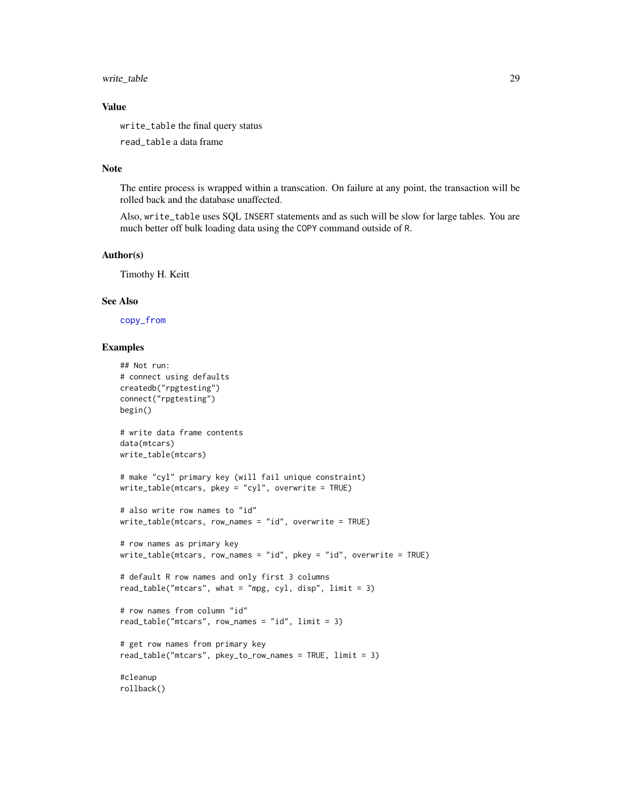# <span id="page-28-0"></span>write\_table 29

# Value

write\_table the final query status

read\_table a data frame

#### Note

The entire process is wrapped within a transcation. On failure at any point, the transaction will be rolled back and the database unaffected.

Also, write\_table uses SQL INSERT statements and as such will be slow for large tables. You are much better off bulk loading data using the COPY command outside of R.

#### Author(s)

Timothy H. Keitt

# See Also

[copy\\_from](#page-7-2)

## Examples

```
## Not run:
# connect using defaults
createdb("rpgtesting")
connect("rpgtesting")
begin()
# write data frame contents
data(mtcars)
write_table(mtcars)
# make "cyl" primary key (will fail unique constraint)
write_table(mtcars, pkey = "cyl", overwrite = TRUE)
# also write row names to "id"
write_table(mtcars, row_names = "id", overwrite = TRUE)
# row names as primary key
write_table(mtcars, row_names = "id", pkey = "id", overwrite = TRUE)# default R row names and only first 3 columns
read_table("mtcars", what = "mpg, cyl, disp", limit = 3)
# row names from column "id"
read_table("mtcars", row_names = "id", limit = 3)
# get row names from primary key
read_table("mtcars", pkey_to_row_names = TRUE, limit = 3)
#cleanup
```
rollback()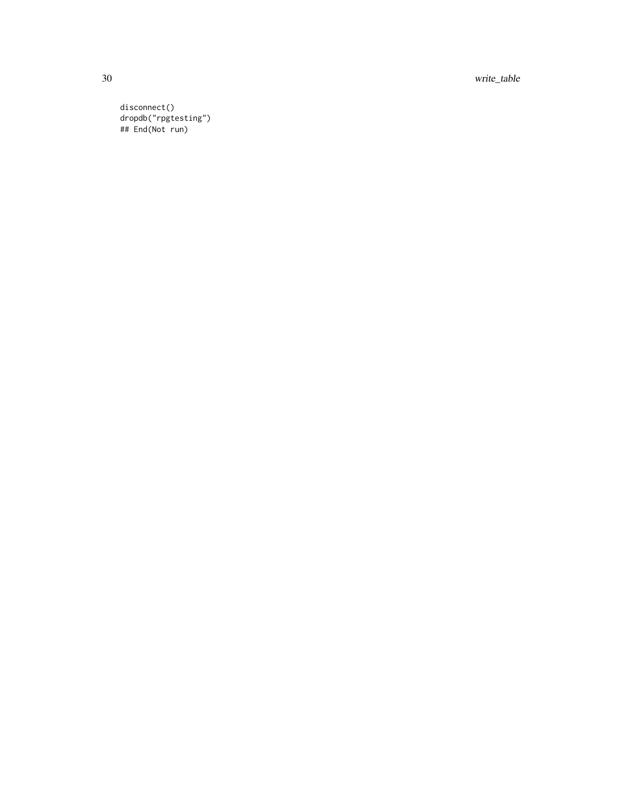30 write\_table

disconnect() dropdb("rpgtesting") ## End(Not run)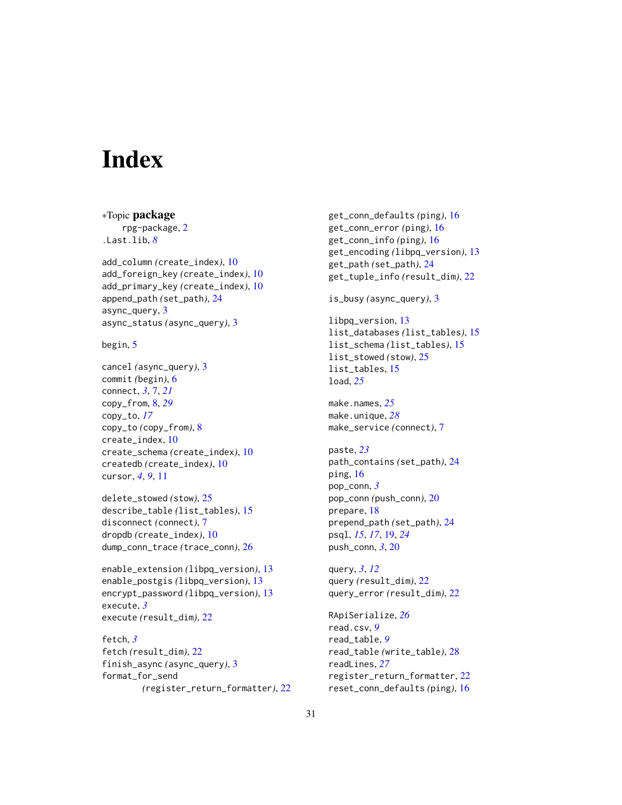# <span id="page-30-0"></span>**Index**

∗Topic package rpg-package, [2](#page-1-0) .Last.lib, *[8](#page-7-0)* add\_column *(*create\_index*)*, [10](#page-9-0) add\_foreign\_key *(*create\_index*)*, [10](#page-9-0) add\_primary\_key *(*create\_index*)*, [10](#page-9-0) append\_path *(*set\_path*)*, [24](#page-23-0) async\_query, [3](#page-2-0) async\_status *(*async\_query*)*, [3](#page-2-0) begin, [5](#page-4-0) cancel *(*async\_query*)*, [3](#page-2-0) commit *(*begin*)*, [6](#page-5-1) connect, *[3](#page-2-0)*, [7,](#page-6-0) *[21](#page-20-0)* copy\_from, [8,](#page-7-0) *[29](#page-28-0)* copy\_to, *[17](#page-16-0)* copy\_to *(*copy\_from*)*, [8](#page-7-0) create\_index, [10](#page-9-0) create\_schema *(*create\_index*)*, [10](#page-9-0) createdb *(*create\_index*)*, [10](#page-9-0)

delete\_stowed *(*stow*)*, [25](#page-24-0) describe\_table *(*list\_tables*)*, [15](#page-14-0) disconnect *(*connect*)*, [7](#page-6-0) dropdb *(*create\_index*)*, [10](#page-9-0) dump\_conn\_trace *(*trace\_conn*)*, [26](#page-25-0)

cursor, *[4](#page-3-0)*, *[9](#page-8-0)*, [11](#page-10-0)

enable\_extension *(*libpq\_version*)*, [13](#page-12-0) enable\_postgis *(*libpq\_version*)*, [13](#page-12-0) encrypt\_password *(*libpq\_version*)*, [13](#page-12-0) execute, *[3](#page-2-0)* execute *(*result\_dim*)*, [22](#page-21-0)

fetch, *[3](#page-2-0)* fetch *(*result\_dim*)*, [22](#page-21-0) finish\_async *(*async\_query*)*, [3](#page-2-0) format\_for\_send *(*register\_return\_formatter*)*, [22](#page-21-0) get\_conn\_defaults *(*ping*)*, [16](#page-15-0) get\_conn\_error *(*ping*)*, [16](#page-15-0) get\_conn\_info *(*ping*)*, [16](#page-15-0) get\_encoding *(*libpq\_version*)*, [13](#page-12-0) get\_path *(*set\_path*)*, [24](#page-23-0) get\_tuple\_info *(*result\_dim*)*, [22](#page-21-0) is\_busy *(*async\_query*)*, [3](#page-2-0) libpq\_version, [13](#page-12-0) list\_databases *(*list\_tables*)*, [15](#page-14-0) list\_schema *(*list\_tables*)*, [15](#page-14-0) list\_stowed *(*stow*)*, [25](#page-24-0) list\_tables, [15](#page-14-0) load, *[25](#page-24-0)* make.names, *[25](#page-24-0)* make.unique, *[28](#page-27-0)* make\_service *(*connect*)*, [7](#page-6-0) paste, *[23](#page-22-0)* path\_contains *(*set\_path*)*, [24](#page-23-0) ping, [16](#page-15-0) pop\_conn, *[3](#page-2-0)* pop\_conn *(*push\_conn*)*, [20](#page-19-0) prepare, [18](#page-17-0) prepend\_path *(*set\_path*)*, [24](#page-23-0) psql, *[15](#page-14-0)*, *[17](#page-16-0)*, [19,](#page-18-0) *[24](#page-23-0)* push\_conn, *[3](#page-2-0)*, [20](#page-19-0) query, *[3](#page-2-0)*, *[12](#page-11-0)* query *(*result\_dim*)*, [22](#page-21-0) query\_error *(*result\_dim*)*, [22](#page-21-0) RApiSerialize, *[26](#page-25-0)* read.csv, *[9](#page-8-0)* read\_table, *[9](#page-8-0)* read\_table *(*write\_table*)*, [28](#page-27-0) readLines, *[27](#page-26-0)* register\_return\_formatter, [22](#page-21-0) reset\_conn\_defaults *(*ping*)*, [16](#page-15-0)